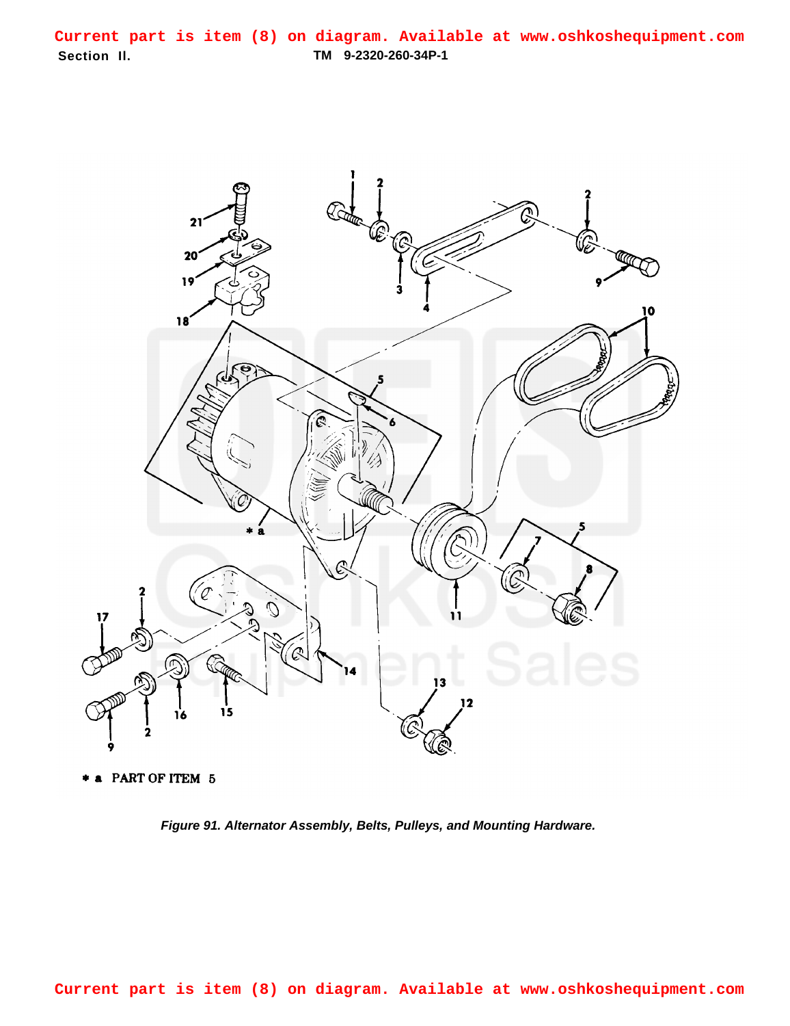**Section Il. TM 9-2320-260-34P-1 Current part is item (8) on diagram. Available at www.oshkoshequipment.com**



\* a PART OF ITEM 5

**Figure 91. Alternator Assembly, Belts, Pulleys, and Mounting Hardware.**

**Current part is item (8) on diagram. Available at www.oshkoshequipment.com**